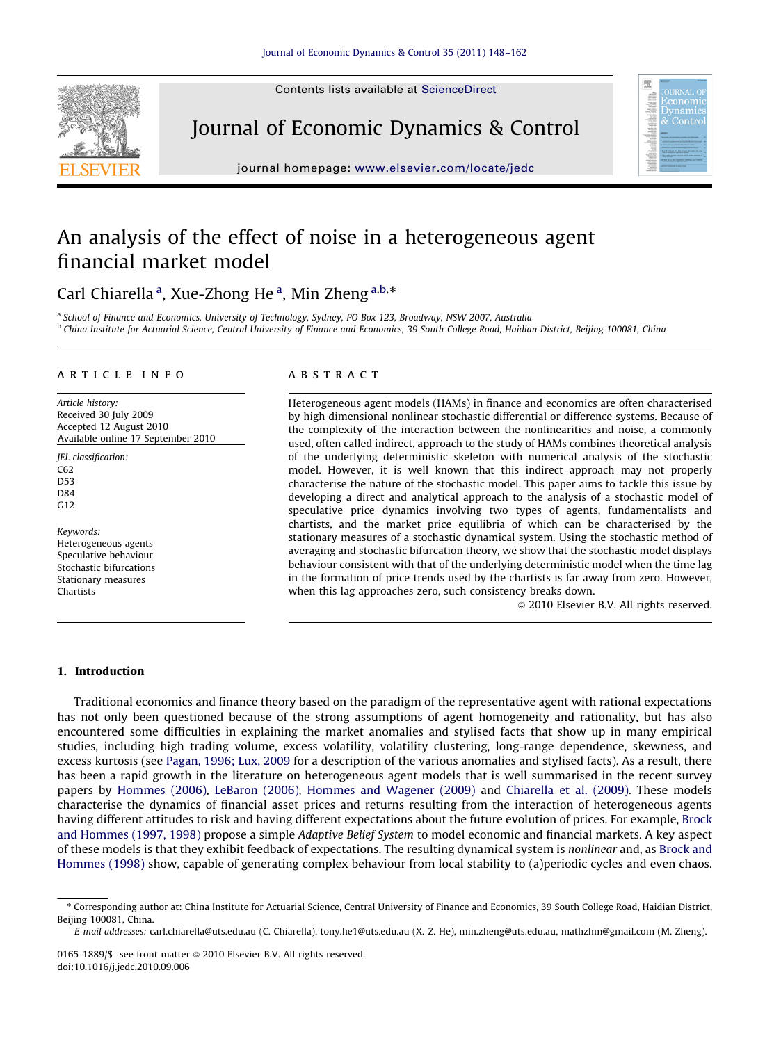Contents lists available at ScienceDirect



Journal of Economic Dynamics & Control



journal homepage: <www.elsevier.com/locate/jedc>

## An analysis of the effect of noise in a heterogeneous agent financial market model

## Carl Chiarella<sup>a</sup>, Xue-Zhong He<sup>a</sup>, Min Zheng<sup>a,b,\*</sup>

a School of Finance and Economics, University of Technology, Sydney, PO Box 123, Broadway, NSW 2007, Australia <sup>b</sup> China Institute for Actuarial Science, Central University of Finance and Economics, 39 South College Road, Haidian District, Beijing 100081, China

#### article info

Article history: Received 30 July 2009 Accepted 12 August 2010 Available online 17 September 2010

JEL classification: C62 D53 D84 G<sub>12</sub>

Keywords: Heterogeneous agents Speculative behaviour Stochastic bifurcations Stationary measures Chartists

#### **ABSTRACT**

Heterogeneous agent models (HAMs) in finance and economics are often characterised by high dimensional nonlinear stochastic differential or difference systems. Because of the complexity of the interaction between the nonlinearities and noise, a commonly used, often called indirect, approach to the study of HAMs combines theoretical analysis of the underlying deterministic skeleton with numerical analysis of the stochastic model. However, it is well known that this indirect approach may not properly characterise the nature of the stochastic model. This paper aims to tackle this issue by developing a direct and analytical approach to the analysis of a stochastic model of speculative price dynamics involving two types of agents, fundamentalists and chartists, and the market price equilibria of which can be characterised by the stationary measures of a stochastic dynamical system. Using the stochastic method of averaging and stochastic bifurcation theory, we show that the stochastic model displays behaviour consistent with that of the underlying deterministic model when the time lag in the formation of price trends used by the chartists is far away from zero. However, when this lag approaches zero, such consistency breaks down.

 $\odot$  2010 Elsevier B.V. All rights reserved.

### 1. Introduction

Traditional economics and finance theory based on the paradigm of the representative agent with rational expectations has not only been questioned because of the strong assumptions of agent homogeneity and rationality, but has also encountered some difficulties in explaining the market anomalies and stylised facts that show up in many empirical studies, including high trading volume, excess volatility, volatility clustering, long-range dependence, skewness, and excess kurtosis (see [Pagan, 1996; Lux, 2009](#page--1-0) for a description of the various anomalies and stylised facts). As a result, there has been a rapid growth in the literature on heterogeneous agent models that is well summarised in the recent survey papers by [Hommes \(2006\)](#page--1-0), [LeBaron \(2006\),](#page--1-0) [Hommes and Wagener \(2009\)](#page--1-0) and [Chiarella et al. \(2009\).](#page--1-0) These models characterise the dynamics of financial asset prices and returns resulting from the interaction of heterogeneous agents having different attitudes to risk and having different expectations about the future evolution of prices. For example, [Brock](#page--1-0) [and Hommes \(1997, 1998\)](#page--1-0) propose a simple Adaptive Belief System to model economic and financial markets. A key aspect of these models is that they exhibit feedback of expectations. The resulting dynamical system is nonlinear and, as [Brock and](#page--1-0) [Hommes \(1998\)](#page--1-0) show, capable of generating complex behaviour from local stability to (a)periodic cycles and even chaos.

<sup>-</sup> Corresponding author at: China Institute for Actuarial Science, Central University of Finance and Economics, 39 South College Road, Haidian District, Beijing 100081, China.

E-mail addresses: [carl.chiarella@uts.edu.au \(C. Chiarella\)](mailto:carl.chiarella@uts.edu.au), [tony.he1@uts.edu.au \(X.-Z. He\)](mailto:tony.he1@uts.edu.au), [min.zheng@uts.edu.au,](mailto:min.zheng@uts.edu.au) [mathzhm@gmail.com \(M. Zheng\).](mailto:mathzhm@gmail.com)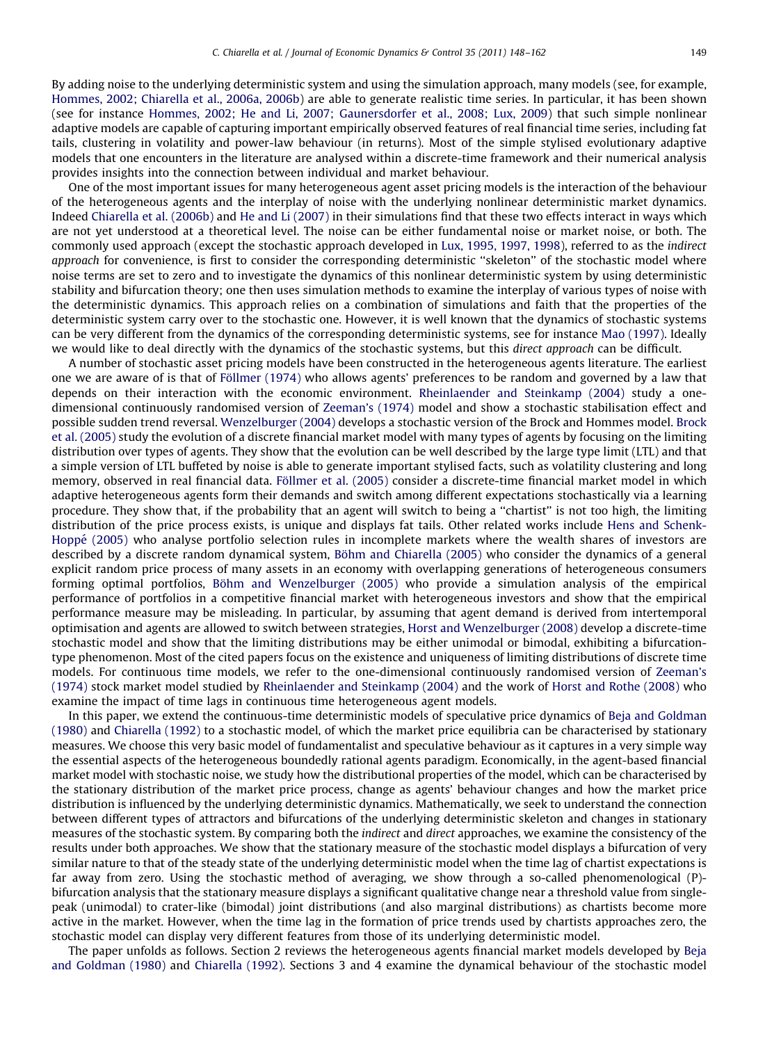By adding noise to the underlying deterministic system and using the simulation approach, many models (see, for example, [Hommes, 2002; Chiarella et al., 2006a, 2006b](#page--1-0)) are able to generate realistic time series. In particular, it has been shown (see for instance [Hommes, 2002; He and Li, 2007; Gaunersdorfer et al., 2008; Lux, 2009\)](#page--1-0) that such simple nonlinear adaptive models are capable of capturing important empirically observed features of real financial time series, including fat tails, clustering in volatility and power-law behaviour (in returns). Most of the simple stylised evolutionary adaptive models that one encounters in the literature are analysed within a discrete-time framework and their numerical analysis provides insights into the connection between individual and market behaviour.

One of the most important issues for many heterogeneous agent asset pricing models is the interaction of the behaviour of the heterogeneous agents and the interplay of noise with the underlying nonlinear deterministic market dynamics. Indeed [Chiarella et al. \(2006b\)](#page--1-0) and [He and Li \(2007\)](#page--1-0) in their simulations find that these two effects interact in ways which are not yet understood at a theoretical level. The noise can be either fundamental noise or market noise, or both. The commonly used approach (except the stochastic approach developed in [Lux, 1995, 1997, 1998](#page--1-0)), referred to as the indirect approach for convenience, is first to consider the corresponding deterministic "skeleton" of the stochastic model where noise terms are set to zero and to investigate the dynamics of this nonlinear deterministic system by using deterministic stability and bifurcation theory; one then uses simulation methods to examine the interplay of various types of noise with the deterministic dynamics. This approach relies on a combination of simulations and faith that the properties of the deterministic system carry over to the stochastic one. However, it is well known that the dynamics of stochastic systems can be very different from the dynamics of the corresponding deterministic systems, see for instance [Mao \(1997\).](#page--1-0) Ideally we would like to deal directly with the dynamics of the stochastic systems, but this direct approach can be difficult.

A number of stochastic asset pricing models have been constructed in the heterogeneous agents literature. The earliest one we are aware of is that of Föllmer (1974) who allows agents' preferences to be random and governed by a law that depends on their interaction with the economic environment. [Rheinlaender and Steinkamp \(2004\)](#page--1-0) study a onedimensional continuously randomised version of [Zeeman's \(1974\)](#page--1-0) model and show a stochastic stabilisation effect and possible sudden trend reversal. [Wenzelburger \(2004\)](#page--1-0) develops a stochastic version of the Brock and Hommes model. [Brock](#page--1-0) [et al. \(2005\)](#page--1-0) study the evolution of a discrete financial market model with many types of agents by focusing on the limiting distribution over types of agents. They show that the evolution can be well described by the large type limit (LTL) and that a simple version of LTL buffeted by noise is able to generate important stylised facts, such as volatility clustering and long memory, observed in real financial data. Föllmer et al. (2005) consider a discrete-time financial market model in which adaptive heterogeneous agents form their demands and switch among different expectations stochastically via a learning procedure. They show that, if the probability that an agent will switch to being a ''chartist'' is not too high, the limiting distribution of the price process exists, is unique and displays fat tails. Other related works include [Hens and Schenk-](#page--1-0)Hoppé [\(2005\)](#page--1-0) who analyse portfolio selection rules in incomplete markets where the wealth shares of investors are described by a discrete random dynamical system, [B](#page--1-0)ö[hm and Chiarella \(2005\)](#page--1-0) who consider the dynamics of a general explicit random price process of many assets in an economy with overlapping generations of heterogeneous consumers forming optimal portfolios, Böhm and Wenzelburger (2005) who provide a simulation analysis of the empirical performance of portfolios in a competitive financial market with heterogeneous investors and show that the empirical performance measure may be misleading. In particular, by assuming that agent demand is derived from intertemporal optimisation and agents are allowed to switch between strategies, [Horst and Wenzelburger \(2008\)](#page--1-0) develop a discrete-time stochastic model and show that the limiting distributions may be either unimodal or bimodal, exhibiting a bifurcationtype phenomenon. Most of the cited papers focus on the existence and uniqueness of limiting distributions of discrete time models. For continuous time models, we refer to the one-dimensional continuously randomised version of [Zeeman's](#page--1-0) [\(1974\)](#page--1-0) stock market model studied by [Rheinlaender and Steinkamp \(2004\)](#page--1-0) and the work of [Horst and Rothe \(2008\)](#page--1-0) who examine the impact of time lags in continuous time heterogeneous agent models.

In this paper, we extend the continuous-time deterministic models of speculative price dynamics of [Beja and Goldman](#page--1-0) [\(1980\)](#page--1-0) and [Chiarella \(1992\)](#page--1-0) to a stochastic model, of which the market price equilibria can be characterised by stationary measures. We choose this very basic model of fundamentalist and speculative behaviour as it captures in a very simple way the essential aspects of the heterogeneous boundedly rational agents paradigm. Economically, in the agent-based financial market model with stochastic noise, we study how the distributional properties of the model, which can be characterised by the stationary distribution of the market price process, change as agents' behaviour changes and how the market price distribution is influenced by the underlying deterministic dynamics. Mathematically, we seek to understand the connection between different types of attractors and bifurcations of the underlying deterministic skeleton and changes in stationary measures of the stochastic system. By comparing both the indirect and direct approaches, we examine the consistency of the results under both approaches. We show that the stationary measure of the stochastic model displays a bifurcation of very similar nature to that of the steady state of the underlying deterministic model when the time lag of chartist expectations is far away from zero. Using the stochastic method of averaging, we show through a so-called phenomenological (P) bifurcation analysis that the stationary measure displays a significant qualitative change near a threshold value from singlepeak (unimodal) to crater-like (bimodal) joint distributions (and also marginal distributions) as chartists become more active in the market. However, when the time lag in the formation of price trends used by chartists approaches zero, the stochastic model can display very different features from those of its underlying deterministic model.

The paper unfolds as follows. Section 2 reviews the heterogeneous agents financial market models developed by [Beja](#page--1-0) [and Goldman \(1980\)](#page--1-0) and [Chiarella \(1992\)](#page--1-0). Sections 3 and 4 examine the dynamical behaviour of the stochastic model